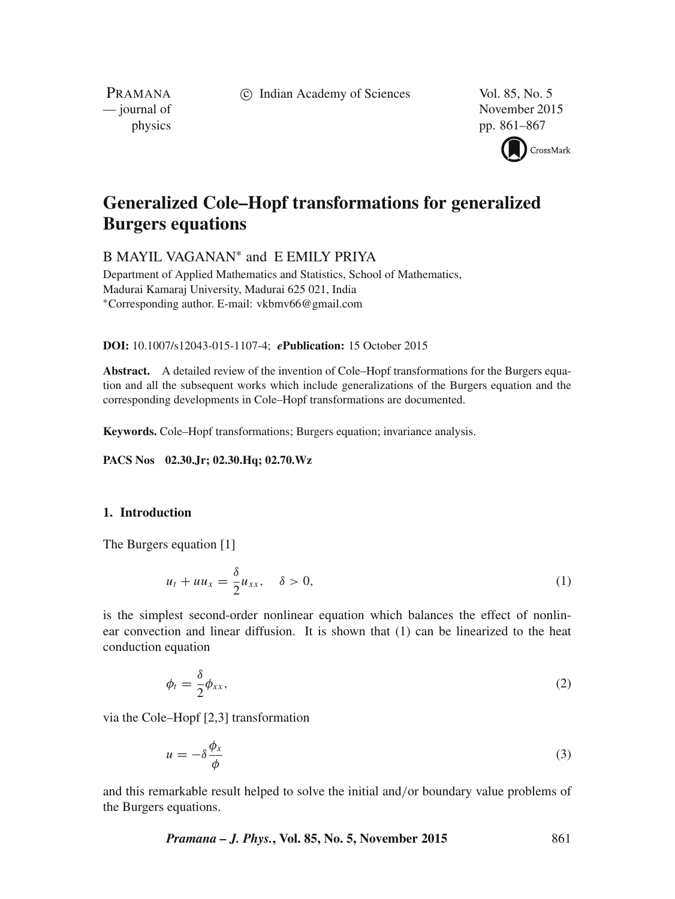c Indian Academy of Sciences Vol. 85, No. 5

PRAMANA<br>
— journal of

November 2015 physics pp. 861–867



# **Generalized Cole–Hopf transformations for generalized Burgers equations**

B MAYIL VAGANAN<sup>\*</sup> and E EMILY PRIYA

Department of Applied Mathematics and Statistics, School of Mathematics, Madurai Kamaraj University, Madurai 625 021, India ∗Corresponding author. E-mail: vkbmv66@gmail.com

**DOI:** 10.1007/s12043-015-1107-4; *e***Publication:** 15 October 2015

**Abstract.** A detailed review of the invention of Cole–Hopf transformations for the Burgers equation and all the subsequent works which include generalizations of the Burgers equation and the corresponding developments in Cole–Hopf transformations are documented.

**Keywords.** Cole–Hopf transformations; Burgers equation; invariance analysis.

**PACS Nos 02.30.Jr; 02.30.Hq; 02.70.Wz**

## **1. Introduction**

The Burgers equation [1]

$$
u_t + uu_x = \frac{\delta}{2}u_{xx}, \quad \delta > 0,
$$
\n<sup>(1)</sup>

is the simplest second-order nonlinear equation which balances the effect of nonlinear convection and linear diffusion. It is shown that (1) can be linearized to the heat conduction equation

> $\phi_t = \frac{\delta}{2}$ 2  $\phi_{xx},$  (2)

via the Cole–Hopf [2,3] transformation

$$
u = -\delta \frac{\phi_x}{\phi} \tag{3}
$$

and this remarkable result helped to solve the initial and/or boundary value problems of the Burgers equations.

*Pramana – J. Phys.***, Vol. 85, No. 5, November 2015** 861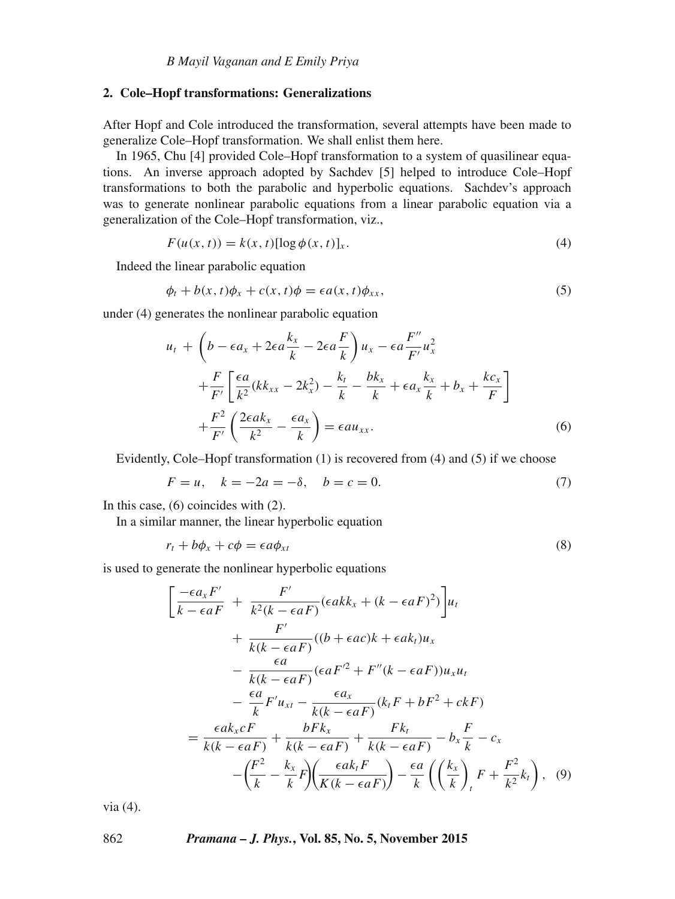#### **2. Cole–Hopf transformations: Generalizations**

After Hopf and Cole introduced the transformation, several attempts have been made to generalize Cole–Hopf transformation. We shall enlist them here.

In 1965, Chu [4] provided Cole–Hopf transformation to a system of quasilinear equations. An inverse approach adopted by Sachdev [5] helped to introduce Cole–Hopf transformations to both the parabolic and hyperbolic equations. Sachdev's approach was to generate nonlinear parabolic equations from a linear parabolic equation via a generalization of the Cole–Hopf transformation, viz.,

$$
F(u(x,t)) = k(x,t)[\log \phi(x,t)]_x.
$$
\n<sup>(4)</sup>

Indeed the linear parabolic equation

$$
\phi_t + b(x, t)\phi_x + c(x, t)\phi = \epsilon a(x, t)\phi_{xx},\tag{5}
$$

under (4) generates the nonlinear parabolic equation

$$
u_t + \left(b - \epsilon a_x + 2\epsilon a \frac{k_x}{k} - 2\epsilon a \frac{F}{k}\right) u_x - \epsilon a \frac{F''}{F'} u_x^2
$$
  
+ 
$$
\frac{F}{F'} \left[\frac{\epsilon a}{k^2} (k k_{xx} - 2k_x^2) - \frac{k_t}{k} - \frac{bk_x}{k} + \epsilon a_x \frac{k_x}{k} + b_x + \frac{k c_x}{F}\right]
$$
  
+ 
$$
\frac{F^2}{F'} \left(\frac{2\epsilon a k_x}{k^2} - \frac{\epsilon a_x}{k}\right) = \epsilon a u_{xx}.
$$
 (6)

Evidently, Cole–Hopf transformation (1) is recovered from (4) and (5) if we choose

$$
F = u, \quad k = -2a = -\delta, \quad b = c = 0. \tag{7}
$$

In this case, (6) coincides with (2).

In a similar manner, the linear hyperbolic equation

$$
r_t + b\phi_x + c\phi = \epsilon a\phi_{xt} \tag{8}
$$

is used to generate the nonlinear hyperbolic equations

$$
\left[\frac{-\epsilon a_x F'}{k - \epsilon aF} + \frac{F'}{k^2(k - \epsilon aF)}(\epsilon ak x + (k - \epsilon aF)^2)\right]u_t
$$
  
+ 
$$
\frac{F'}{k(k - \epsilon aF)}((b + \epsilon ac)k + \epsilon ak_t)u_x
$$
  
- 
$$
\frac{\epsilon a}{k(k - \epsilon aF)}(\epsilon aF'^2 + F''(k - \epsilon aF))u_xu_t
$$
  
- 
$$
\frac{\epsilon a}{k}F'u_{xt} - \frac{\epsilon a_x}{k(k - \epsilon aF)}(k_t F + bF^2 + c kF)
$$
  
= 
$$
\frac{\epsilon a k_x cF}{k(k - \epsilon aF)} + \frac{bFk_x}{k(k - \epsilon aF)} + \frac{Fk_t}{k(k - \epsilon aF)} - b_x \frac{F}{k} - c_x
$$
  
- 
$$
\left(\frac{F^2}{k} - \frac{k_x}{k}F\right)\left(\frac{\epsilon a k_t F}{K(k - \epsilon aF)}\right) - \frac{\epsilon a}{k}\left(\left(\frac{k_x}{k}\right)_t F + \frac{F^2}{k^2}k_t\right), \quad (9)
$$

via (4).

#### 862 *Pramana – J. Phys.***, Vol. 85, No. 5, November 2015**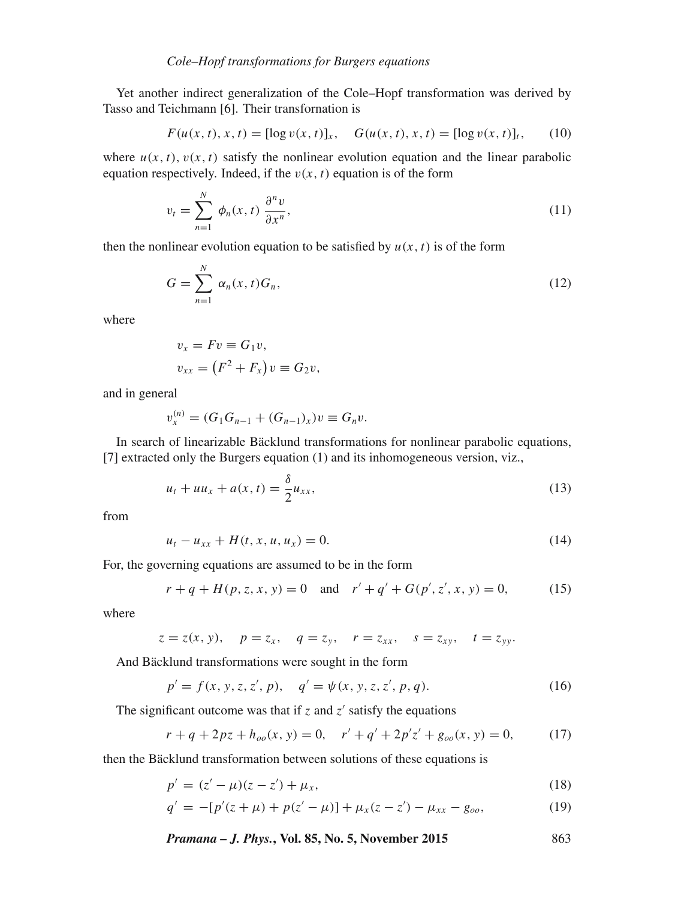Yet another indirect generalization of the Cole–Hopf transformation was derived by Tasso and Teichmann [6]. Their transfornation is

$$
F(u(x, t), x, t) = [\log v(x, t)]_x, \quad G(u(x, t), x, t) = [\log v(x, t)]_t, \quad (10)
$$

where  $u(x, t)$ ,  $v(x, t)$  satisfy the nonlinear evolution equation and the linear parabolic equation respectively. Indeed, if the  $v(x, t)$  equation is of the form

$$
v_t = \sum_{n=1}^{N} \phi_n(x, t) \frac{\partial^n v}{\partial x^n},
$$
\n(11)

then the nonlinear evolution equation to be satisfied by  $u(x, t)$  is of the form

$$
G = \sum_{n=1}^{N} \alpha_n(x, t) G_n,
$$
\n(12)

where

$$
v_x = Fv \equiv G_1v,
$$
  

$$
v_{xx} = (F^2 + F_x)v \equiv G_2v,
$$

and in general

$$
v_x^{(n)} = (G_1 G_{n-1} + (G_{n-1})_x)v \equiv G_n v.
$$

In search of linearizable Bäcklund transformations for nonlinear parabolic equations, [7] extracted only the Burgers equation (1) and its inhomogeneous version, viz.,

$$
u_t + uu_x + a(x, t) = \frac{\delta}{2}u_{xx},
$$
\n(13)

from

$$
u_t - u_{xx} + H(t, x, u, u_x) = 0.
$$
 (14)

For, the governing equations are assumed to be in the form

$$
r + q + H(p, z, x, y) = 0
$$
 and  $r' + q' + G(p', z', x, y) = 0,$  (15)

where

$$
z = z(x, y),
$$
  $p = z_x,$   $q = z_y,$   $r = z_{xx},$   $s = z_{xy},$   $t = z_{yy}.$ 

And Bäcklund transformations were sought in the form

$$
p' = f(x, y, z, z', p), \quad q' = \psi(x, y, z, z', p, q). \tag{16}
$$

The significant outcome was that if  $z$  and  $z'$  satisfy the equations

$$
r + q + 2pz + h_{oo}(x, y) = 0, \quad r' + q' + 2p'z' + g_{oo}(x, y) = 0,\tag{17}
$$

then the Bäcklund transformation between solutions of these equations is

$$
p' = (z' - \mu)(z - z') + \mu_x,\tag{18}
$$

$$
q' = -[p'(z + \mu) + p(z' - \mu)] + \mu_x(z - z') - \mu_{xx} - g_{oo},
$$
\n(19)

*Pramana – J. Phys.***, Vol. 85, No. 5, November 2015** 863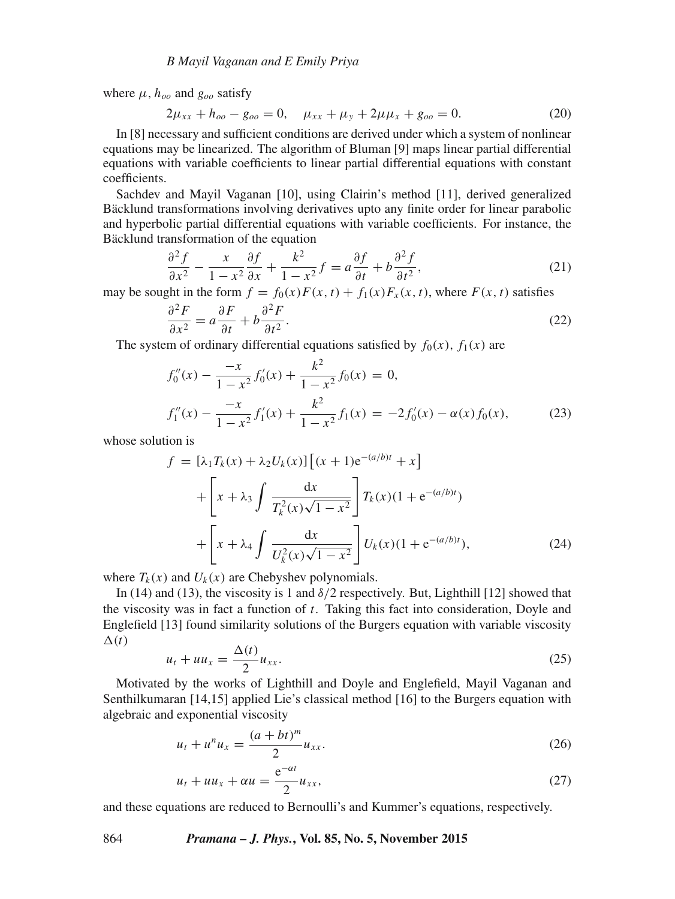where  $\mu$ ,  $h_{oo}$  and  $g_{oo}$  satisfy

$$
2\mu_{xx} + h_{oo} - g_{oo} = 0, \quad \mu_{xx} + \mu_y + 2\mu\mu_x + g_{oo} = 0.
$$
 (20)

In [8] necessary and sufficient conditions are derived under which a system of nonlinear equations may be linearized. The algorithm of Bluman [9] maps linear partial differential equations with variable coefficients to linear partial differential equations with constant coefficients.

Sachdev and Mayil Vaganan [10], using Clairin's method [11], derived generalized Bäcklund transformations involving derivatives upto any finite order for linear parabolic and hyperbolic partial differential equations with variable coefficients. For instance, the Bäcklund transformation of the equation

$$
\frac{\partial^2 f}{\partial x^2} - \frac{x}{1 - x^2} \frac{\partial f}{\partial x} + \frac{k^2}{1 - x^2} f = a \frac{\partial f}{\partial t} + b \frac{\partial^2 f}{\partial t^2},\tag{21}
$$

may be sought in the form  $f = f_0(x)F(x, t) + f_1(x)F_x(x, t)$ , where  $F(x, t)$  satisfies

$$
\frac{\partial^2 F}{\partial x^2} = a \frac{\partial F}{\partial t} + b \frac{\partial^2 F}{\partial t^2}.
$$
 (22)

The system of ordinary differential equations satisfied by  $f_0(x)$ ,  $f_1(x)$  are

$$
f_0''(x) - \frac{-x}{1 - x^2} f_0'(x) + \frac{k^2}{1 - x^2} f_0(x) = 0,
$$
  

$$
f_1''(x) - \frac{-x}{1 - x^2} f_1'(x) + \frac{k^2}{1 - x^2} f_1(x) = -2f_0'(x) - \alpha(x) f_0(x),
$$
 (23)

whose solution is

$$
f = [\lambda_1 T_k(x) + \lambda_2 U_k(x)] [(x + 1)e^{-(a/b)t} + x]
$$
  
+ 
$$
\left[ x + \lambda_3 \int \frac{dx}{T_k^2(x)\sqrt{1 - x^2}} \right] T_k(x)(1 + e^{-(a/b)t})
$$
  
+ 
$$
\left[ x + \lambda_4 \int \frac{dx}{U_k^2(x)\sqrt{1 - x^2}} \right] U_k(x)(1 + e^{-(a/b)t}), \tag{24}
$$

where  $T_k(x)$  and  $U_k(x)$  are Chebyshev polynomials.

In (14) and (13), the viscosity is 1 and  $\delta/2$  respectively. But, Lighthill [12] showed that the viscosity was in fact a function of  $t$ . Taking this fact into consideration, Doyle and Englefield [13] found similarity solutions of the Burgers equation with variable viscosity  $\Delta(t)$ 

$$
u_t + uu_x = \frac{\Delta(t)}{2}u_{xx}.\tag{25}
$$

Motivated by the works of Lighthill and Doyle and Englefield, Mayil Vaganan and Senthilkumaran [14,15] applied Lie's classical method [16] to the Burgers equation with algebraic and exponential viscosity

$$
u_t + u^n u_x = \frac{(a+bt)^m}{2} u_{xx}.
$$
 (26)

$$
u_t + uu_x + \alpha u = \frac{e^{-\alpha t}}{2} u_{xx},
$$
\n(27)

and these equations are reduced to Bernoulli's and Kummer's equations, respectively.

### 864 *Pramana – J. Phys.***, Vol. 85, No. 5, November 2015**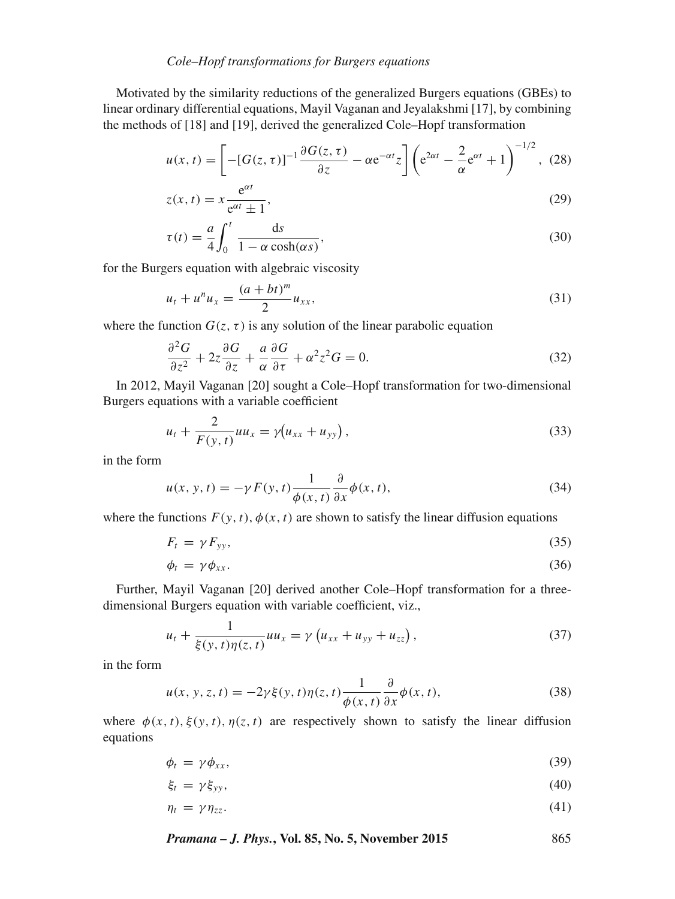# *Cole–Hopf transformations for Burgers equations*

Motivated by the similarity reductions of the generalized Burgers equations (GBEs) to linear ordinary differential equations, Mayil Vaganan and Jeyalakshmi [17], by combining the methods of [18] and [19], derived the generalized Cole–Hopf transformation

$$
u(x,t) = \left[ -[G(z,\tau)]^{-1} \frac{\partial G(z,\tau)}{\partial z} - \alpha e^{-\alpha t} z \right] \left( e^{2\alpha t} - \frac{2}{\alpha} e^{\alpha t} + 1 \right)^{-1/2}, \tag{28}
$$

$$
z(x,t) = x \frac{e^{\alpha t}}{e^{\alpha t} \pm 1},
$$
\n(29)

$$
\tau(t) = \frac{a}{4} \int_0^t \frac{ds}{1 - \alpha \cosh(\alpha s)},
$$
\n(30)

for the Burgers equation with algebraic viscosity

$$
u_t + u^n u_x = \frac{(a + bt)^m}{2} u_{xx},
$$
\n(31)

where the function  $G(z, \tau)$  is any solution of the linear parabolic equation

$$
\frac{\partial^2 G}{\partial z^2} + 2z \frac{\partial G}{\partial z} + \frac{a}{\alpha} \frac{\partial G}{\partial \tau} + \alpha^2 z^2 G = 0.
$$
 (32)

In 2012, Mayil Vaganan [20] sought a Cole–Hopf transformation for two-dimensional Burgers equations with a variable coefficient

$$
u_t + \frac{2}{F(y, t)} u u_x = \gamma (u_{xx} + u_{yy}), \qquad (33)
$$

in the form

$$
u(x, y, t) = -\gamma F(y, t) \frac{1}{\phi(x, t)} \frac{\partial}{\partial x} \phi(x, t),
$$
\n(34)

where the functions  $F(y, t)$ ,  $\phi(x, t)$  are shown to satisfy the linear diffusion equations

$$
F_t = \gamma F_{yy},\tag{35}
$$

$$
\phi_t = \gamma \phi_{xx}.\tag{36}
$$

Further, Mayil Vaganan [20] derived another Cole–Hopf transformation for a threedimensional Burgers equation with variable coefficient, viz.,

$$
u_t + \frac{1}{\xi(y, t)\eta(z, t)}uu_x = \gamma(u_{xx} + u_{yy} + u_{zz}),
$$
\n(37)

in the form

$$
u(x, y, z, t) = -2\gamma \xi(y, t)\eta(z, t)\frac{1}{\phi(x, t)}\frac{\partial}{\partial x}\phi(x, t),
$$
\n(38)

where  $\phi(x, t), \xi(y, t), \eta(z, t)$  are respectively shown to satisfy the linear diffusion equations

$$
\phi_t = \gamma \phi_{xx},\tag{39}
$$

$$
\xi_t = \gamma \xi_{yy},\tag{40}
$$

$$
\eta_t = \gamma \eta_{zz}.\tag{41}
$$

*Pramana – J. Phys.***, Vol. 85, No. 5, November 2015** 865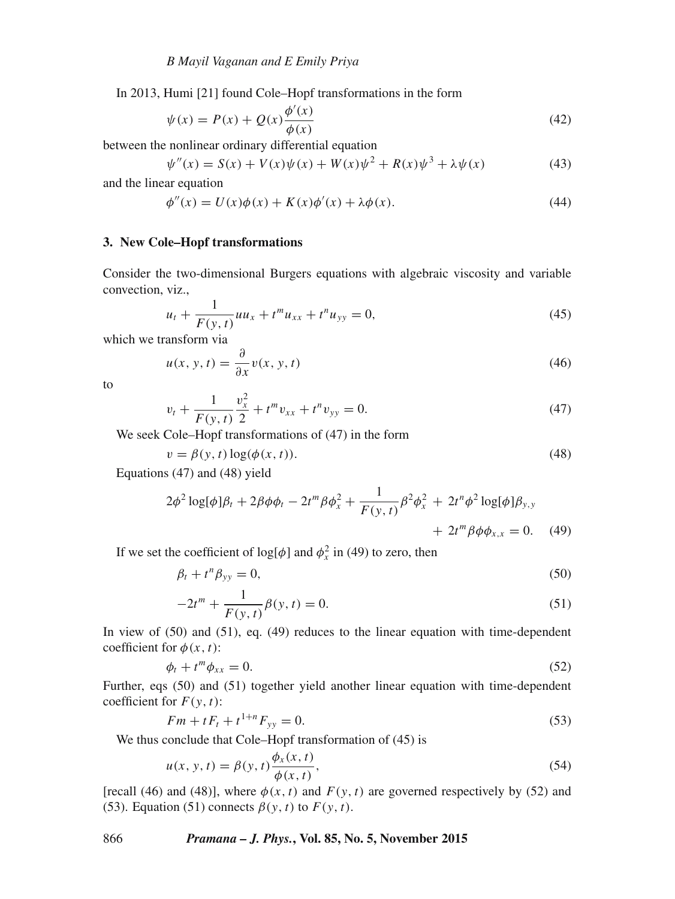In 2013, Humi [21] found Cole–Hopf transformations in the form

$$
\psi(x) = P(x) + Q(x)\frac{\phi'(x)}{\phi(x)}
$$
\n(42)

between the nonlinear ordinary differential equation

$$
\psi''(x) = S(x) + V(x)\psi(x) + W(x)\psi^{2} + R(x)\psi^{3} + \lambda\psi(x)
$$
\n(43)

and the linear equation

$$
\phi''(x) = U(x)\phi(x) + K(x)\phi'(x) + \lambda\phi(x). \tag{44}
$$

#### **3. New Cole–Hopf transformations**

Consider the two-dimensional Burgers equations with algebraic viscosity and variable convection, viz.,

$$
u_t + \frac{1}{F(y, t)} u u_x + t^m u_{xx} + t^n u_{yy} = 0,
$$
\n(45)

which we transform via

$$
u(x, y, t) = \frac{\partial}{\partial x} v(x, y, t)
$$
\n(46)

to

$$
v_t + \frac{1}{F(y,t)} \frac{v_x^2}{2} + t^m v_{xx} + t^n v_{yy} = 0.
$$
 (47)

We seek Cole–Hopf transformations of (47) in the form

$$
v = \beta(y, t) \log(\phi(x, t)).
$$
\n(48)

Equations (47) and (48) yield

$$
2\phi^2 \log[\phi]\beta_t + 2\beta \phi \phi_t - 2t^m \beta \phi_x^2 + \frac{1}{F(y, t)} \beta^2 \phi_x^2 + 2t^n \phi^2 \log[\phi]\beta_{y, y} + 2t^m \beta \phi \phi_{x, x} = 0.
$$
 (49)

If we set the coefficient of  $log[\phi]$  and  $\phi_x^2$  in (49) to zero, then

$$
\beta_t + t^n \beta_{yy} = 0,\t\t(50)
$$

$$
-2t^{m} + \frac{1}{F(y,t)}\beta(y,t) = 0.
$$
\n(51)

In view of (50) and (51), eq. (49) reduces to the linear equation with time-dependent coefficient for  $\phi(x, t)$ :

$$
\phi_t + t^m \phi_{xx} = 0. \tag{52}
$$

Further, eqs (50) and (51) together yield another linear equation with time-dependent coefficient for  $F(y, t)$ :

$$
Fm + tF_t + t^{1+n}F_{yy} = 0.
$$
\n(53)

We thus conclude that Cole–Hopf transformation of (45) is

$$
u(x, y, t) = \beta(y, t) \frac{\phi_x(x, t)}{\phi(x, t)},
$$
\n(54)

[recall (46) and (48)], where  $\phi(x, t)$  and  $F(y, t)$  are governed respectively by (52) and (53). Equation (51) connects  $\beta(y, t)$  to  $F(y, t)$ .

866 *Pramana – J. Phys.***, Vol. 85, No. 5, November 2015**